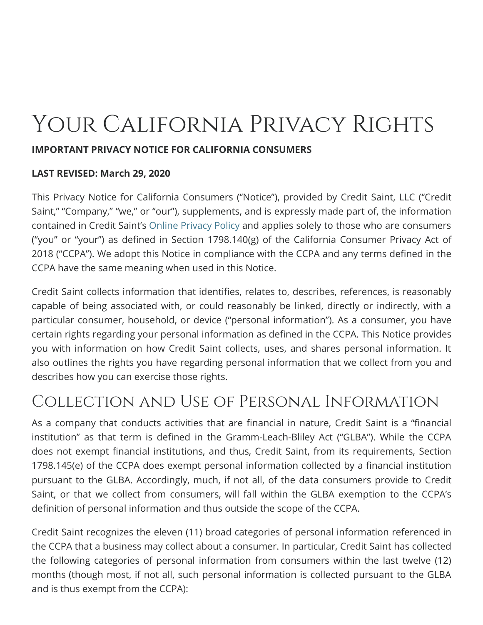# Your California Privacy Rights

#### **IMPORTANT PRIVACY NOTICE FOR CALIFORNIA CONSUMERS**

#### **LAST REVISED: March 29, 2020**

This Privacy Notice for California Consumers ("Notice"), provided by Credit Saint, LLC ("Credit Saint," "Company," "we," or "our"), supplements, and is expressly made part of, the information contained in Credit Saint's [Online Privacy Policy](https://creditsaint.test/privacy-policy) and applies solely to those who are consumers ("you" or "your") as defined in Section 1798.140 $(g)$  of the California Consumer Privacy Act of 2018 ("CCPA"). We adopt this Notice in compliance with the CCPA and any terms defined in the CCPA have the same meaning when used in this Notice.

Credit Saint collects information that identifies, relates to, describes, references, is reasonably capable of being associated with, or could reasonably be linked, directly or indirectly, with a particular consumer, household, or device ("personal information"). As a consumer, you have certain rights regarding your personal information as defined in the CCPA. This Notice provides you with information on how Credit Saint collects, uses, and shares personal information. It also outlines the rights you have regarding personal information that we collect from you and describes how you can exercise those rights.

# Collection and Use of Personal Information

As a company that conducts activities that are financial in nature, Credit Saint is a "financial institution" as that term is defined in the Gramm-Leach-Bliley Act ("GLBA"). While the CCPA does not exempt financial institutions, and thus, Credit Saint, from its requirements, Section 1798.145(e) of the CCPA does exempt personal information collected by a financial institution pursuant to the GLBA. Accordingly, much, if not all, of the data consumers provide to Credit Saint, or that we collect from consumers, will fall within the GLBA exemption to the CCPA's definition of personal information and thus outside the scope of the CCPA.

Credit Saint recognizes the eleven (11) broad categories of personal information referenced in the CCPA that a business may collect about a consumer. In particular, Credit Saint has collected the following categories of personal information from consumers within the last twelve (12) months (though most, if not all, such personal information is collected pursuant to the GLBA and is thus exempt from the CCPA):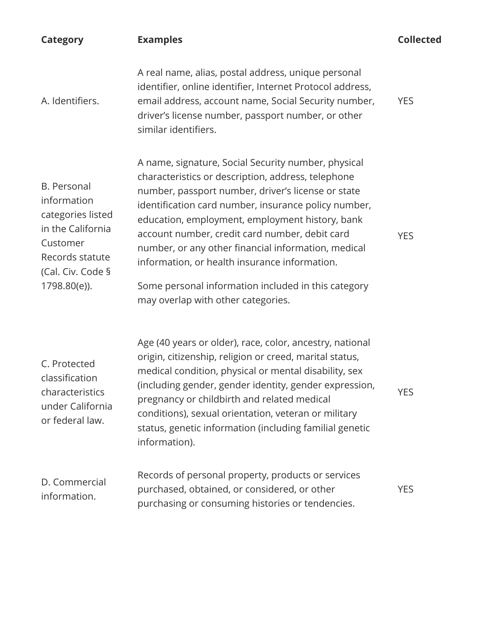| <b>Category</b>                                                                                                                                 | <b>Examples</b>                                                                                                                                                                                                                                                                                                                                                                                                                                                                                                                   | <b>Collected</b> |
|-------------------------------------------------------------------------------------------------------------------------------------------------|-----------------------------------------------------------------------------------------------------------------------------------------------------------------------------------------------------------------------------------------------------------------------------------------------------------------------------------------------------------------------------------------------------------------------------------------------------------------------------------------------------------------------------------|------------------|
| A. Identifiers.                                                                                                                                 | A real name, alias, postal address, unique personal<br>identifier, online identifier, Internet Protocol address,<br>email address, account name, Social Security number,<br>driver's license number, passport number, or other<br>similar identifiers.                                                                                                                                                                                                                                                                            | <b>YES</b>       |
| <b>B.</b> Personal<br>information<br>categories listed<br>in the California<br>Customer<br>Records statute<br>(Cal. Civ. Code §<br>1798.80(e)). | A name, signature, Social Security number, physical<br>characteristics or description, address, telephone<br>number, passport number, driver's license or state<br>identification card number, insurance policy number,<br>education, employment, employment history, bank<br>account number, credit card number, debit card<br>number, or any other financial information, medical<br>information, or health insurance information.<br>Some personal information included in this category<br>may overlap with other categories. | <b>YES</b>       |
| C. Protected<br>classification<br>characteristics<br>under California<br>or federal law.                                                        | Age (40 years or older), race, color, ancestry, national<br>origin, citizenship, religion or creed, marital status,<br>medical condition, physical or mental disability, sex<br>(including gender, gender identity, gender expression,<br>pregnancy or childbirth and related medical<br>conditions), sexual orientation, veteran or military<br>status, genetic information (including familial genetic<br>information).                                                                                                         | <b>YES</b>       |
| D. Commercial<br>information.                                                                                                                   | Records of personal property, products or services<br>purchased, obtained, or considered, or other<br>purchasing or consuming histories or tendencies.                                                                                                                                                                                                                                                                                                                                                                            | <b>YES</b>       |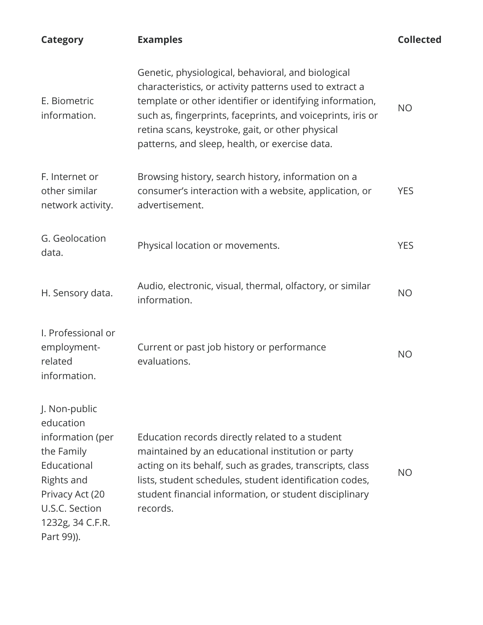| <b>Category</b>                                                                                                                                                  | <b>Examples</b>                                                                                                                                                                                                                                                                                                                                | <b>Collected</b> |
|------------------------------------------------------------------------------------------------------------------------------------------------------------------|------------------------------------------------------------------------------------------------------------------------------------------------------------------------------------------------------------------------------------------------------------------------------------------------------------------------------------------------|------------------|
| E. Biometric<br>information.                                                                                                                                     | Genetic, physiological, behavioral, and biological<br>characteristics, or activity patterns used to extract a<br>template or other identifier or identifying information,<br>such as, fingerprints, faceprints, and voiceprints, iris or<br>retina scans, keystroke, gait, or other physical<br>patterns, and sleep, health, or exercise data. | <b>NO</b>        |
| F. Internet or<br>other similar<br>network activity.                                                                                                             | Browsing history, search history, information on a<br>consumer's interaction with a website, application, or<br>advertisement.                                                                                                                                                                                                                 | <b>YES</b>       |
| G. Geolocation<br>data.                                                                                                                                          | Physical location or movements.                                                                                                                                                                                                                                                                                                                | <b>YES</b>       |
| H. Sensory data.                                                                                                                                                 | Audio, electronic, visual, thermal, olfactory, or similar<br>information.                                                                                                                                                                                                                                                                      | <b>NO</b>        |
| I. Professional or<br>employment-<br>related<br>information.                                                                                                     | Current or past job history or performance<br>evaluations.                                                                                                                                                                                                                                                                                     | <b>NO</b>        |
| J. Non-public<br>education<br>information (per<br>the Family<br>Educational<br>Rights and<br>Privacy Act (20<br>U.S.C. Section<br>1232g, 34 C.F.R.<br>Part 99)). | Education records directly related to a student<br>maintained by an educational institution or party<br>acting on its behalf, such as grades, transcripts, class<br>lists, student schedules, student identification codes,<br>student financial information, or student disciplinary<br>records.                                              | <b>NO</b>        |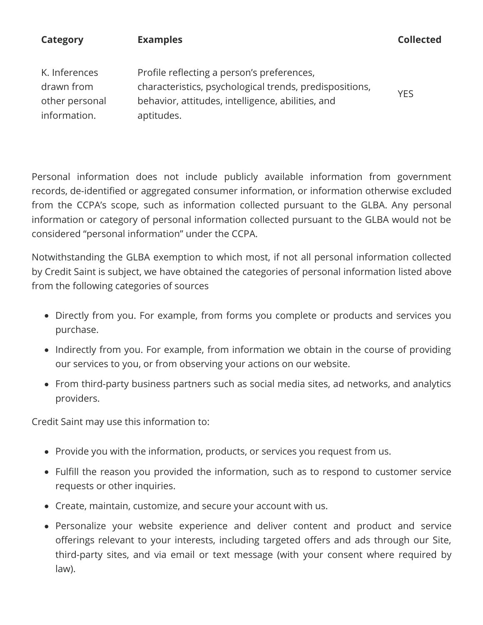| <b>Category</b>                                               | <b>Examples</b>                                                                                                                                                          | <b>Collected</b> |
|---------------------------------------------------------------|--------------------------------------------------------------------------------------------------------------------------------------------------------------------------|------------------|
| K. Inferences<br>drawn from<br>other personal<br>information. | Profile reflecting a person's preferences,<br>characteristics, psychological trends, predispositions,<br>behavior, attitudes, intelligence, abilities, and<br>aptitudes. | <b>YES</b>       |

Personal information does not include publicly available information from government records, de-identified or aggregated consumer information, or information otherwise excluded from the CCPA's scope, such as information collected pursuant to the GLBA. Any personal information or category of personal information collected pursuant to the GLBA would not be considered "personal information" under the CCPA.

Notwithstanding the GLBA exemption to which most, if not all personal information collected by Credit Saint is subject, we have obtained the categories of personal information listed above from the following categories of sources

- Directly from you. For example, from forms you complete or products and services you purchase.
- Indirectly from you. For example, from information we obtain in the course of providing our services to you, or from observing your actions on our website.
- From third-party business partners such as social media sites, ad networks, and analytics providers.

Credit Saint may use this information to:

- Provide you with the information, products, or services you request from us.
- Fulfill the reason you provided the information, such as to respond to customer service requests or other inquiries.
- Create, maintain, customize, and secure your account with us.
- Personalize your website experience and deliver content and product and service offerings relevant to your interests, including targeted offers and ads through our Site, third-party sites, and via email or text message (with your consent where required by law).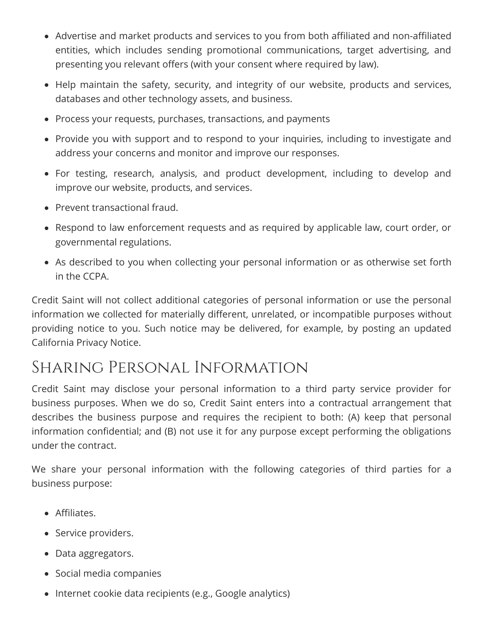- Advertise and market products and services to you from both affiliated and non-affiliated entities, which includes sending promotional communications, target advertising, and presenting you relevant offers (with your consent where required by law).
- Help maintain the safety, security, and integrity of our website, products and services, databases and other technology assets, and business.
- Process your requests, purchases, transactions, and payments
- Provide you with support and to respond to your inquiries, including to investigate and address your concerns and monitor and improve our responses.
- For testing, research, analysis, and product development, including to develop and improve our website, products, and services.
- Prevent transactional fraud.
- Respond to law enforcement requests and as required by applicable law, court order, or governmental regulations.
- As described to you when collecting your personal information or as otherwise set forth in the CCPA.

Credit Saint will not collect additional categories of personal information or use the personal information we collected for materially different, unrelated, or incompatible purposes without providing notice to you. Such notice may be delivered, for example, by posting an updated California Privacy Notice.

### Sharing Personal Information

Credit Saint may disclose your personal information to a third party service provider for business purposes. When we do so, Credit Saint enters into a contractual arrangement that describes the business purpose and requires the recipient to both: (A) keep that personal information confidential; and (B) not use it for any purpose except performing the obligations under the contract.

We share your personal information with the following categories of third parties for a business purpose:

- Affiliates.
- Service providers.
- Data aggregators.
- Social media companies
- Internet cookie data recipients (e.g., Google analytics)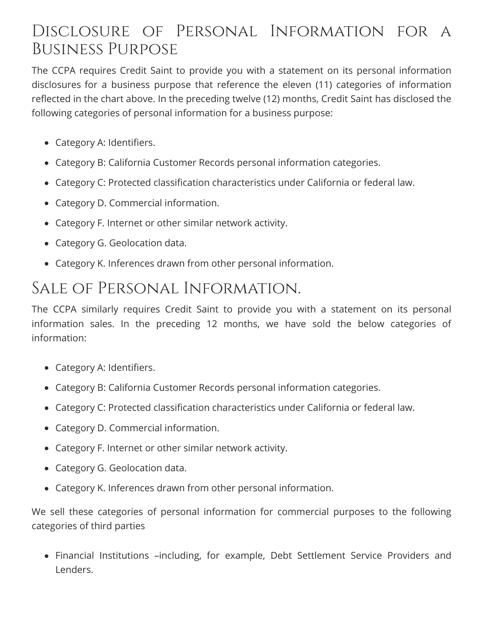### Disclosure of Personal Information for a Business Purpose

The CCPA requires Credit Saint to provide you with a statement on its personal information disclosures for a business purpose that reference the eleven (11) categories of information reflected in the chart above. In the preceding twelve (12) months, Credit Saint has disclosed the following categories of personal information for a business purpose:

- Category A: Identifiers.
- Category B: California Customer Records personal information categories.
- Category C: Protected classification characteristics under California or federal law.
- Category D. Commercial information.
- Category F. Internet or other similar network activity.
- Category G. Geolocation data.
- Category K. Inferences drawn from other personal information.

### Sale of Personal Information.

The CCPA similarly requires Credit Saint to provide you with a statement on its personal information sales. In the preceding 12 months, we have sold the below categories of information:

- Category A: Identifiers.
- Category B: California Customer Records personal information categories.
- Category C: Protected classification characteristics under California or federal law.
- Category D. Commercial information.
- Category F. Internet or other similar network activity.
- Category G. Geolocation data.
- Category K. Inferences drawn from other personal information.

We sell these categories of personal information for commercial purposes to the following categories of third parties

Financial Institutions –including, for example, Debt Settlement Service Providers and Lenders.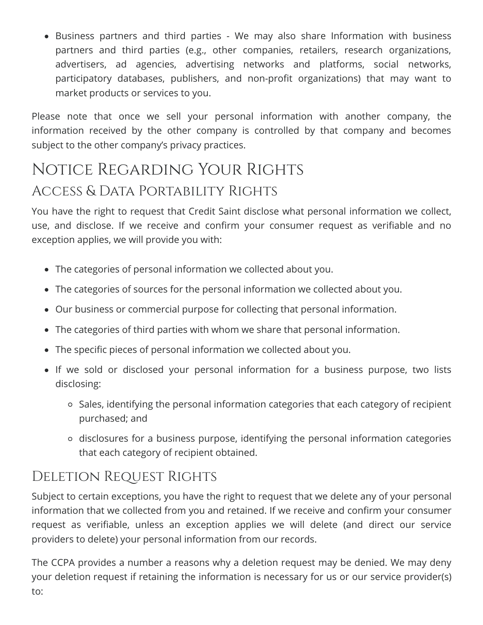Business partners and third parties - We may also share Information with business partners and third parties (e.g., other companies, retailers, research organizations, advertisers, ad agencies, advertising networks and platforms, social networks, participatory databases, publishers, and non-profit organizations) that may want to market products or services to you.

Please note that once we sell your personal information with another company, the information received by the other company is controlled by that company and becomes subject to the other company's privacy practices.

### Notice Regarding Your Rights Access & Data Portability Rights

You have the right to request that Credit Saint disclose what personal information we collect, use, and disclose. If we receive and confirm your consumer request as verifiable and no exception applies, we will provide you with:

- The categories of personal information we collected about you.
- The categories of sources for the personal information we collected about you.
- Our business or commercial purpose for collecting that personal information.
- The categories of third parties with whom we share that personal information.
- The specific pieces of personal information we collected about you.
- If we sold or disclosed your personal information for a business purpose, two lists disclosing:
	- o Sales, identifying the personal information categories that each category of recipient purchased; and
	- disclosures for a business purpose, identifying the personal information categories that each category of recipient obtained.

### DELETION REQUEST RIGHTS

Subject to certain exceptions, you have the right to request that we delete any of your personal information that we collected from you and retained. If we receive and confirm your consumer request as verifiable, unless an exception applies we will delete (and direct our service providers to delete) your personal information from our records.

The CCPA provides a number a reasons why a deletion request may be denied. We may deny your deletion request if retaining the information is necessary for us or our service provider(s) to: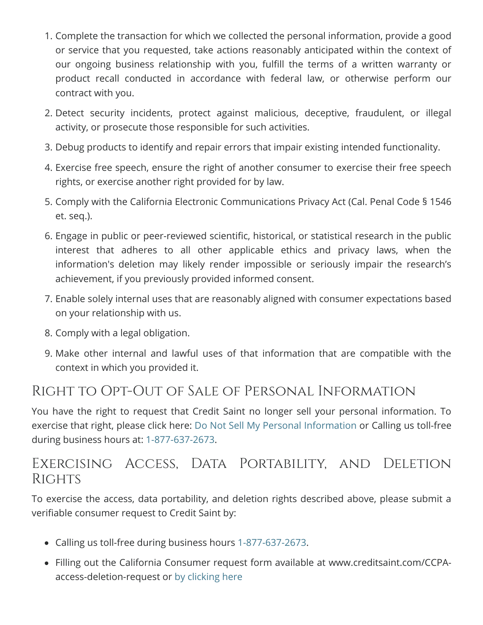- 1. Complete the transaction for which we collected the personal information, provide a good or service that you requested, take actions reasonably anticipated within the context of our ongoing business relationship with you, fulfill the terms of a written warranty or product recall conducted in accordance with federal law, or otherwise perform our contract with you.
- 2. Detect security incidents, protect against malicious, deceptive, fraudulent, or illegal activity, or prosecute those responsible for such activities.
- 3. Debug products to identify and repair errors that impair existing intended functionality.
- 4. Exercise free speech, ensure the right of another consumer to exercise their free speech rights, or exercise another right provided for by law.
- 5. Comply with the California Electronic Communications Privacy Act (Cal. Penal Code § 1546 et. seq.).
- 6. Engage in public or peer-reviewed scientific, historical, or statistical research in the public interest that adheres to all other applicable ethics and privacy laws, when the information's deletion may likely render impossible or seriously impair the research's achievement, if you previously provided informed consent.
- 7. Enable solely internal uses that are reasonably aligned with consumer expectations based on your relationship with us.
- 8. Comply with a legal obligation.
- 9. Make other internal and lawful uses of that information that are compatible with the context in which you provided it.

#### Right to Opt-Out of Sale of Personal Information

You have the right to request that Credit Saint no longer sell your personal information. To exercise that right, please click here: [Do Not Sell My Personal Information](https://creditsaint.test/ccpa-do-not-sell-request) or Calling us toll-free during business hours at: [1-877-637-2673](tel:1(877)637-2673).

### Exercising Access, Data Portability, and Deletion **RIGHTS**

To exercise the access, data portability, and deletion rights described above, please submit a verifiable consumer request to Credit Saint by:

- Calling us toll-free during business hours [1-877-637-2673](tel:1(877)637-2673).
- Filling out the California Consumer request form available at www.creditsaint.com/CCPAaccess-deletion-request or [by clicking here](https://creditsaint.test/ccpa-access-deletion-request)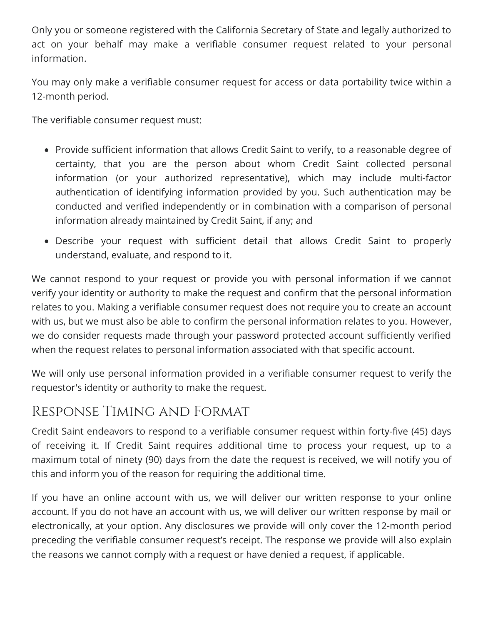Only you or someone registered with the California Secretary of State and legally authorized to act on your behalf may make a verifiable consumer request related to your personal information.

You may only make a verifiable consumer request for access or data portability twice within a 12-month period.

The verifiable consumer request must:

- Provide sufficient information that allows Credit Saint to verify, to a reasonable degree of certainty, that you are the person about whom Credit Saint collected personal information (or your authorized representative), which may include multi-factor authentication of identifying information provided by you. Such authentication may be conducted and verified independently or in combination with a comparison of personal information already maintained by Credit Saint, if any; and
- Describe your request with sufficient detail that allows Credit Saint to properly understand, evaluate, and respond to it.

We cannot respond to your request or provide you with personal information if we cannot verify your identity or authority to make the request and confirm that the personal information relates to you. Making a verifiable consumer request does not require you to create an account with us, but we must also be able to confirm the personal information relates to you. However, we do consider requests made through your password protected account sufficiently verified when the request relates to personal information associated with that specific account.

We will only use personal information provided in a verifiable consumer request to verify the requestor's identity or authority to make the request.

### Response Timing and Format

Credit Saint endeavors to respond to a verifiable consumer request within forty-five (45) days of receiving it. If Credit Saint requires additional time to process your request, up to a maximum total of ninety (90) days from the date the request is received, we will notify you of this and inform you of the reason for requiring the additional time.

If you have an online account with us, we will deliver our written response to your online account. If you do not have an account with us, we will deliver our written response by mail or electronically, at your option. Any disclosures we provide will only cover the 12-month period preceding the verifiable consumer request's receipt. The response we provide will also explain the reasons we cannot comply with a request or have denied a request, if applicable.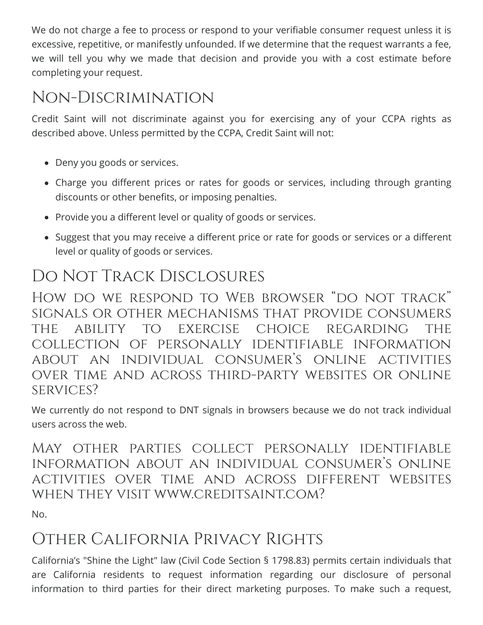We do not charge a fee to process or respond to your verifiable consumer request unless it is excessive, repetitive, or manifestly unfounded. If we determine that the request warrants a fee, we will tell you why we made that decision and provide you with a cost estimate before completing your request.

### Non-Discrimination

Credit Saint will not discriminate against you for exercising any of your CCPA rights as described above. Unless permitted by the CCPA, Credit Saint will not:

- Deny you goods or services.
- Charge you different prices or rates for goods or services, including through granting discounts or other benefits, or imposing penalties.
- Provide you a different level or quality of goods or services.
- Suggest that you may receive a different price or rate for goods or services or a different level or quality of goods or services.

### Do Not Track Disclosures

HOW DO WE RESPOND TO WEB BROWSER "DO NOT TRACK" signals or other mechanisms that provide consumers the ability to exercise choice regarding the collection of personally identifiable information about an individual consumer's online activities over time and across third-party websites or online services?

We currently do not respond to DNT signals in browsers because we do not track individual users across the web.

May other parties collect personally identifiable information about an individual consumer's online activities over time and across different websites when they visit www.creditsaint.com?

No.

### Other California Privacy Rights

California's "Shine the Light" law (Civil Code Section § 1798.83) permits certain individuals that are California residents to request information regarding our disclosure of personal information to third parties for their direct marketing purposes. To make such a request,